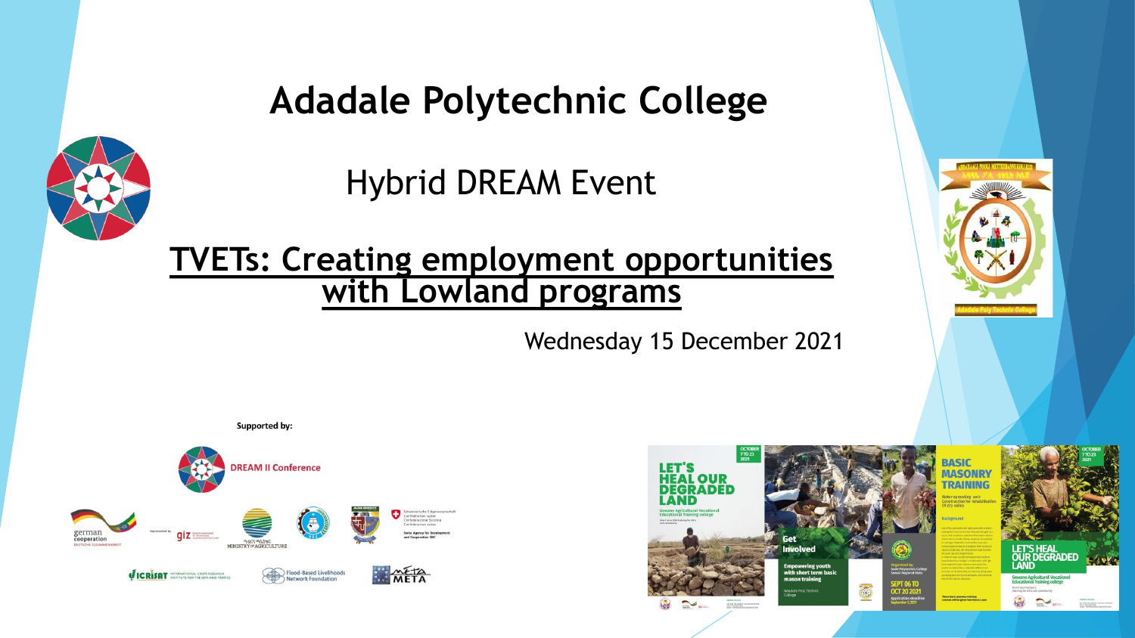#### **Adadale Polytechnic College**

Hybrid DREAM Event

#### **TVETs: Creating employment opportunities with Lowland programs**

Wednesday 15 December 2021





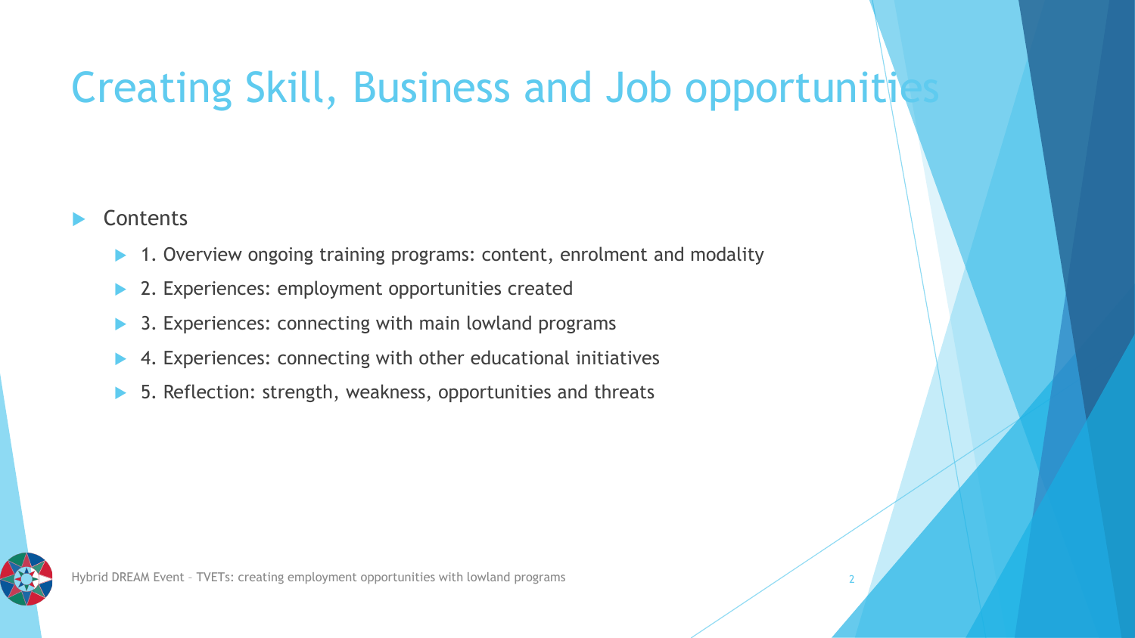# Creating Skill, Business and Job opportunitiv

#### **Contents**

- 1. Overview ongoing training programs: content, enrolment and modality
- 2. Experiences: employment opportunities created
- 3. Experiences: connecting with main lowland programs
- 4. Experiences: connecting with other educational initiatives
- 5. Reflection: strength, weakness, opportunities and threats

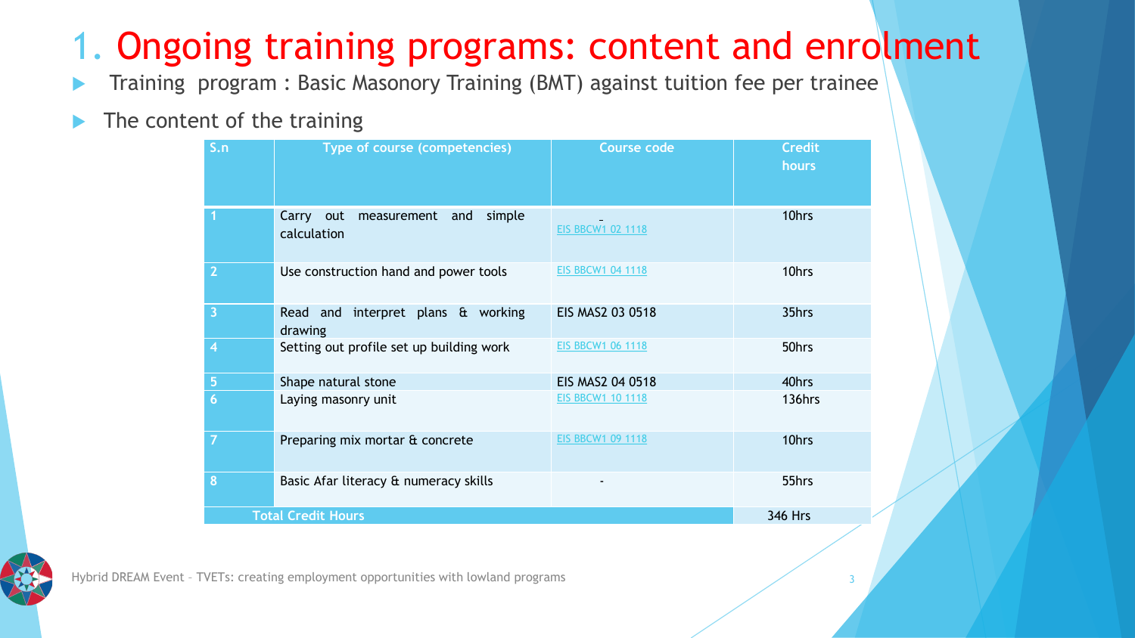## 1. Ongoing training programs: content and enrolment

- Training program : Basic Masonory Training (BMT) against tuition fee per trainee
- The content of the training

| S.n                       | Type of course (competencies)                            | <b>Course code</b>       | <b>Credit</b><br>hours |
|---------------------------|----------------------------------------------------------|--------------------------|------------------------|
|                           | simple<br>Carry out<br>and<br>measurement<br>calculation | <b>EIS BBCW1 02 1118</b> | 10hrs                  |
| $\overline{2}$            | Use construction hand and power tools                    | <b>EIS BBCW1 04 1118</b> | 10hrs                  |
| 3                         | Read and interpret plans & working<br>drawing            | EIS MAS2 03 0518         | 35hrs                  |
| 4                         | Setting out profile set up building work                 | <b>EIS BBCW1 06 1118</b> | 50hrs                  |
| 5                         | Shape natural stone                                      | EIS MAS2 04 0518         | 40hrs                  |
| $6\phantom{1}$            | Laying masonry unit                                      | <b>EIS BBCW1 10 1118</b> | 136hrs                 |
| 7                         | Preparing mix mortar & concrete                          | <b>EIS BBCW1 09 1118</b> | 10hrs                  |
| 8                         | Basic Afar literacy & numeracy skills                    |                          | 55hrs                  |
| <b>Total Credit Hours</b> |                                                          |                          | <b>346 Hrs</b>         |



Hybrid DREAM Event – TVETs: creating employment opportunities with lowland programs 3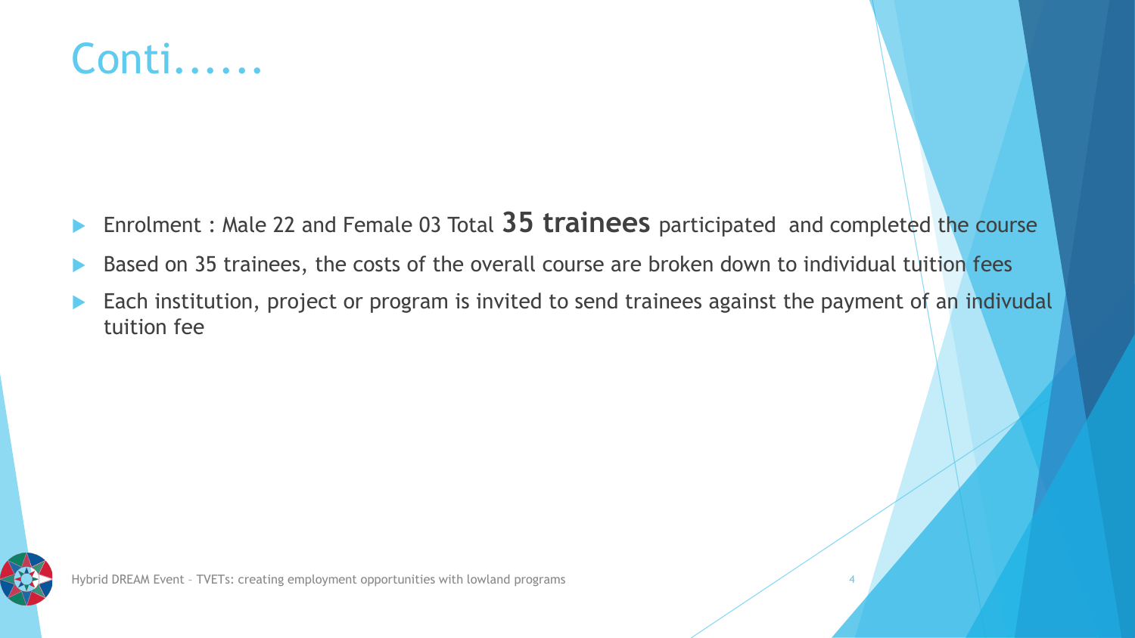## Conti......

- Enrolment : Male 22 and Female 03 Total **35 trainees** participated and completed the course
- Based on 35 trainees, the costs of the overall course are broken down to individual tuition fees
- Each institution, project or program is invited to send trainees against the payment of an indivudal tuition fee

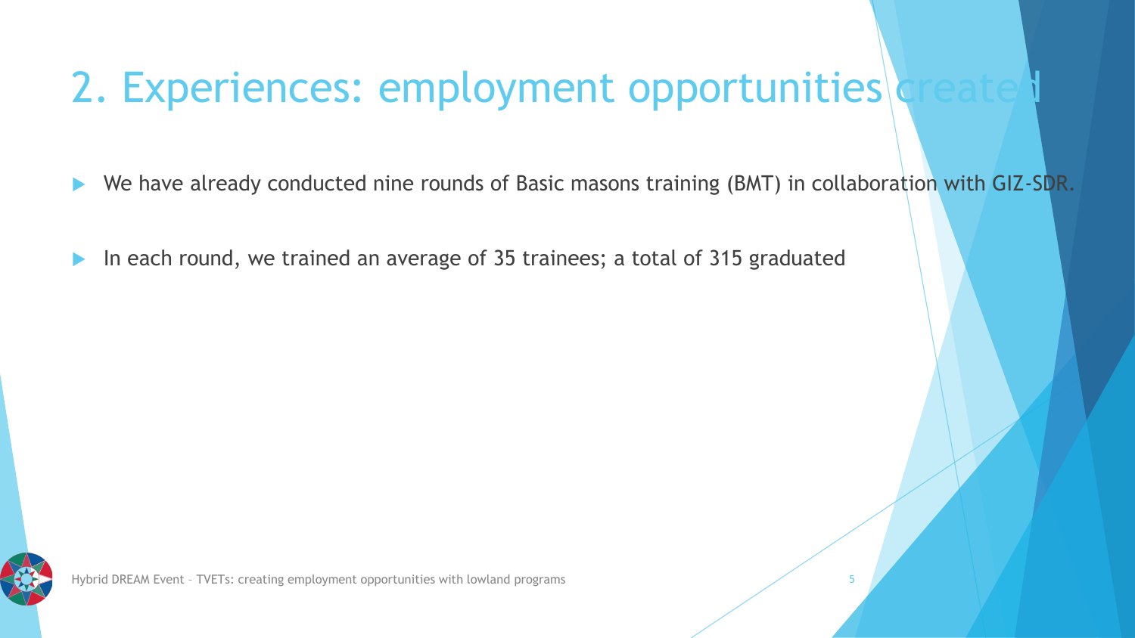# 2. Experiences: employment opportunities

We have already conducted nine rounds of Basic masons training (BMT) in collaboration with GIZ-SDR.

In each round, we trained an average of 35 trainees; a total of 315 graduated

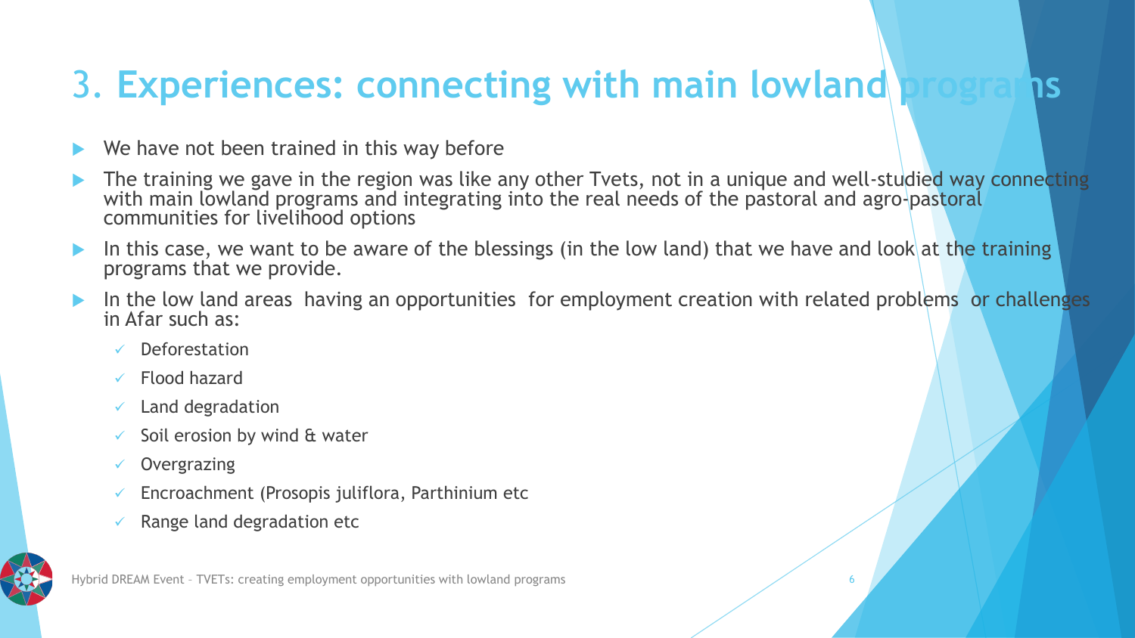#### 3. **Experiences: connecting with main lowland programs**

- We have not been trained in this way before
- The training we gave in the region was like any other Tvets, not in a unique and well-studied way connecting with main lowland programs and integrating into the real needs of the pastoral and agro-pastoral communities for livelihood options
- In this case, we want to be aware of the blessings (in the low land) that we have and look at the training programs that we provide.
- In the low land areas having an opportunities for employment creation with related problems or challenges in Afar such as:
	- **Deforestation**
	- Flood hazard
	- $\checkmark$  Land degradation
	- Soil erosion by wind & water
	- ✓ Overgrazing
	- $\checkmark$  Encroachment (Prosopis juliflora, Parthinium etc
	- Range land degradation etc



Hybrid DREAM Event – TVETs: creating employment opportunities with lowland programs 6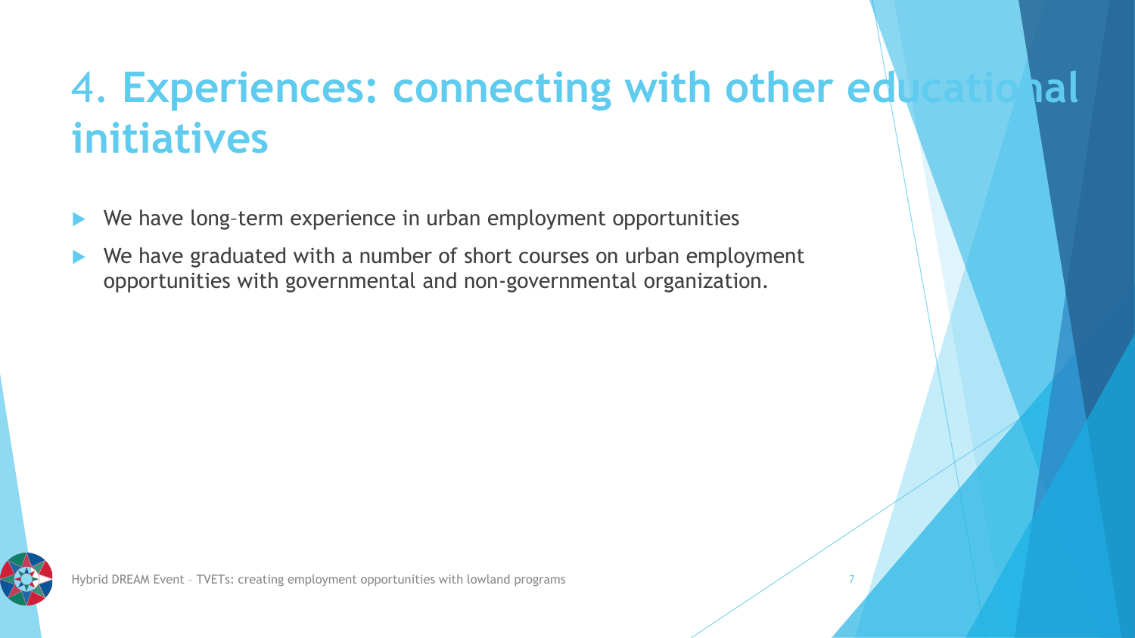# 4. **Experiences: connecting with other educational initiatives**

- We have long–term experience in urban employment opportunities
- We have graduated with a number of short courses on urban employment opportunities with governmental and non-governmental organization.

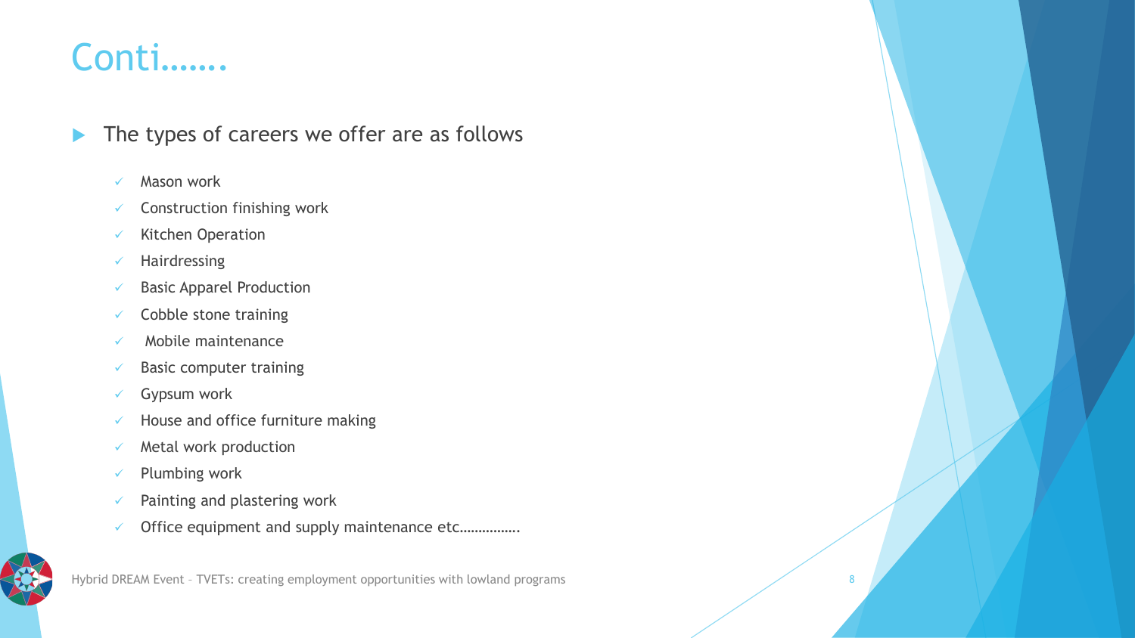#### Conti…….

- $\blacktriangleright$  The types of careers we offer are as follows
	- ✓ Mason work
	- $\checkmark$  Construction finishing work
	- ✓ Kitchen Operation
	- ✓ Hairdressing
	- ✓ Basic Apparel Production
	- $\checkmark$  Cobble stone training
	- ✓ Mobile maintenance
	- $\checkmark$  Basic computer training
	- $\checkmark$  Gypsum work
	- $\checkmark$  House and office furniture making
	- $\checkmark$  Metal work production
	- ✓ Plumbing work
	- $\checkmark$  Painting and plastering work
	- ✓ Office equipment and supply maintenance etc…………….

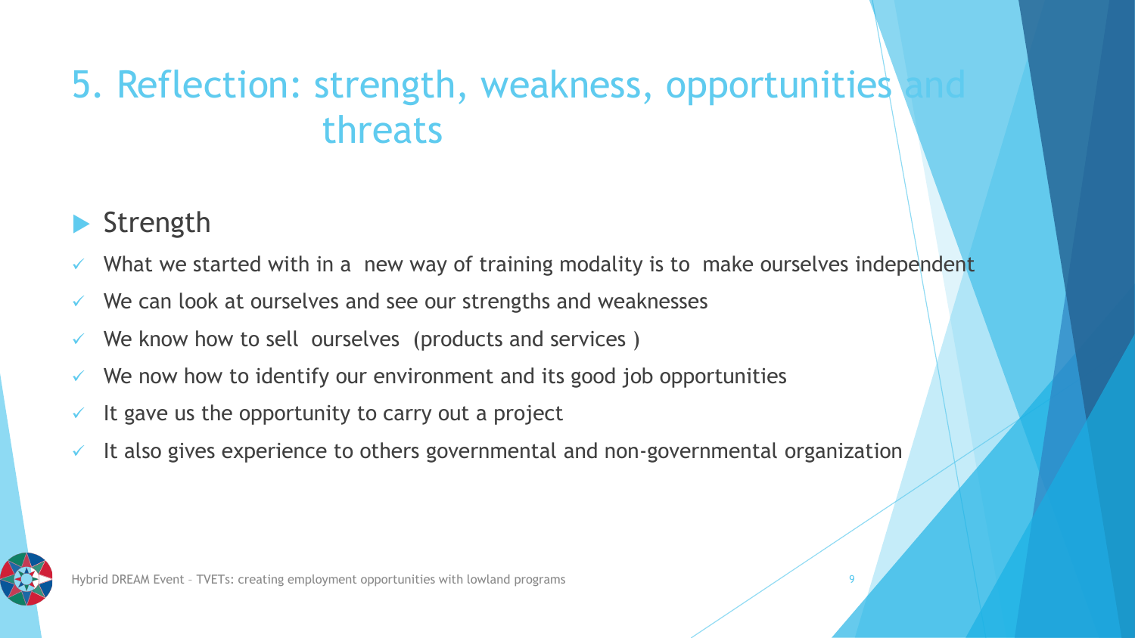## 5. Reflection: strength, weakness, opportunities threats

#### Strength

- What we started with in a new way of training modality is to make ourselves independent
- We can look at ourselves and see our strengths and weaknesses
- We know how to sell ourselves (products and services)
- We now how to identify our environment and its good job opportunities
- It gave us the opportunity to carry out a project
- It also gives experience to others governmental and non-governmental organization



Hybrid DREAM Event – TVETs: creating employment opportunities with lowland programs 9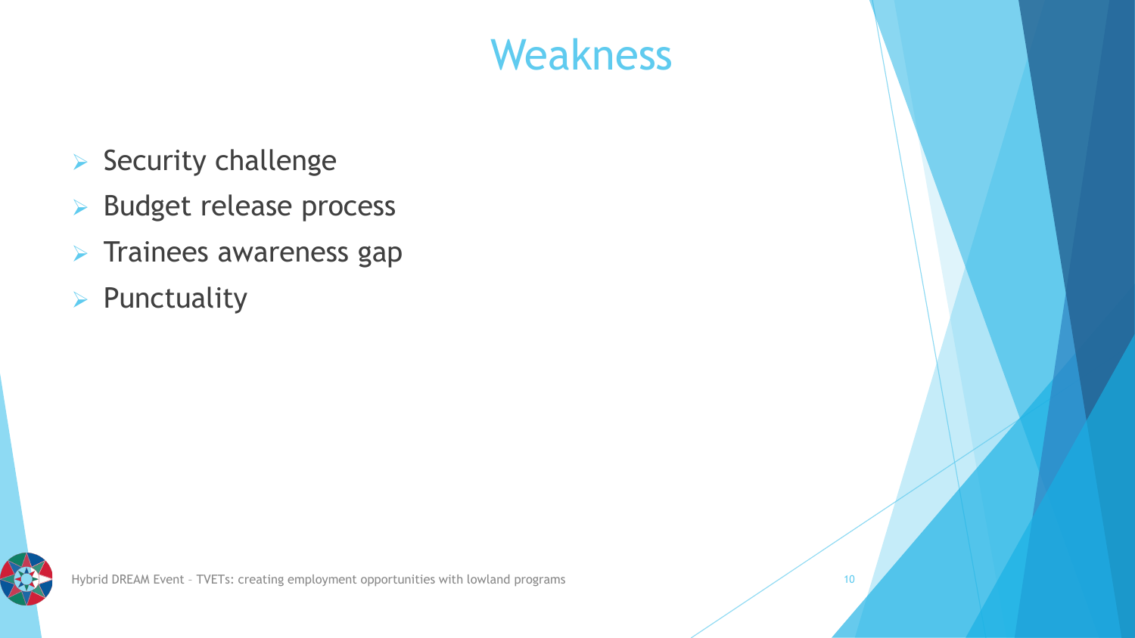# Weakness

- ➢ Security challenge
- ➢ Budget release process
- ➢ Trainees awareness gap
- ➢ Punctuality

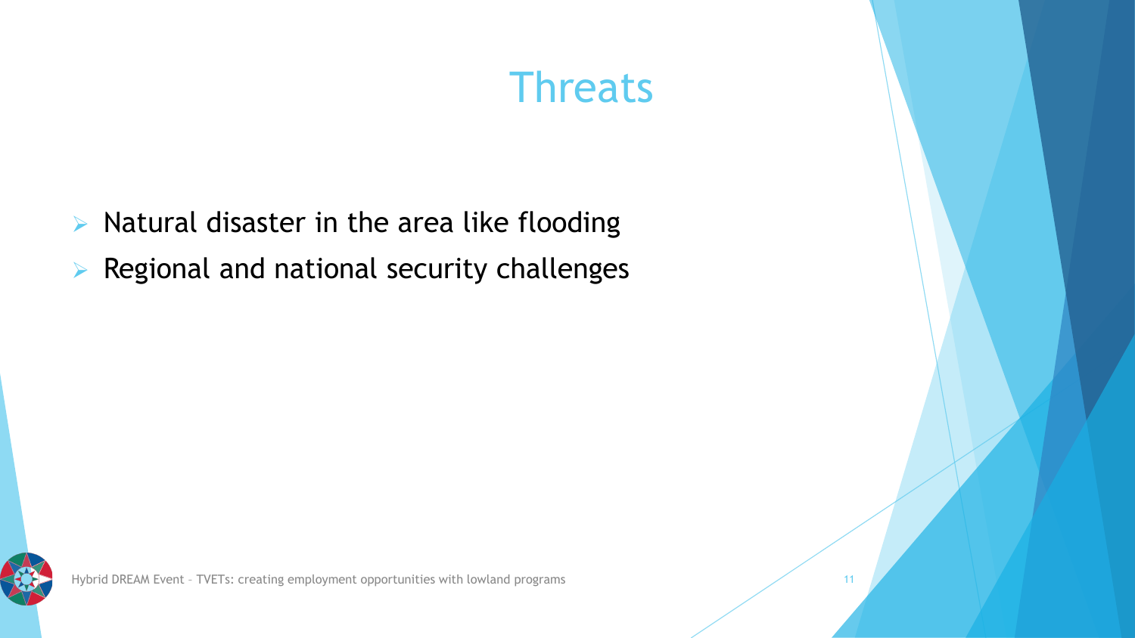# **Threats**

- ➢ Natural disaster in the area like flooding
- ➢ Regional and national security challenges

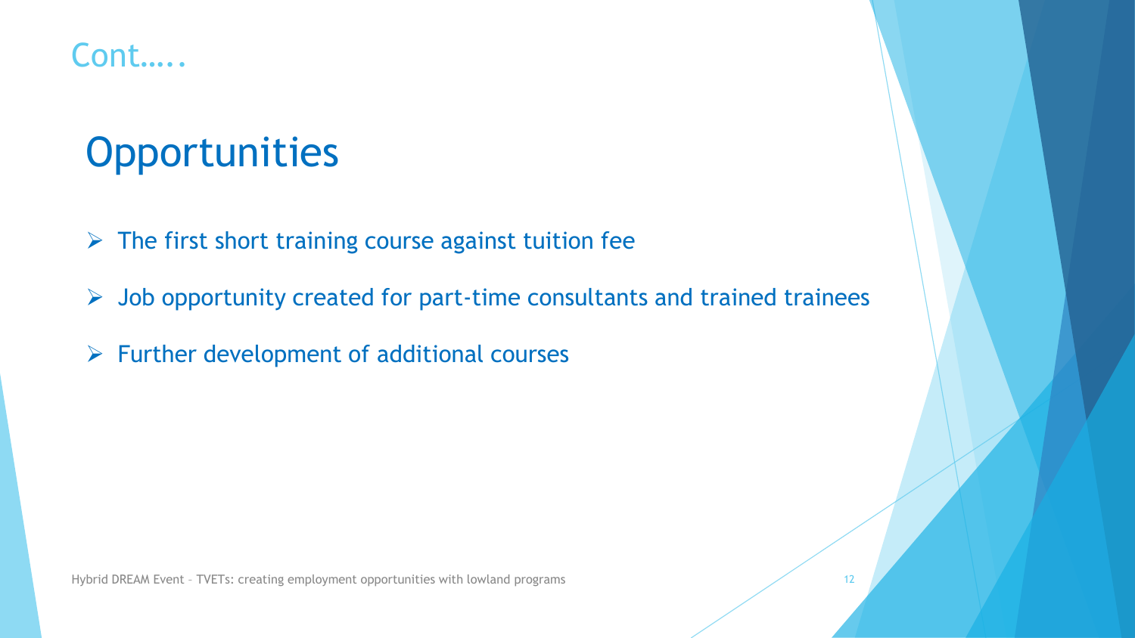#### Cont…..

# **Opportunities**

- $\triangleright$  The first short training course against tuition fee
- ➢ Job opportunity created for part-time consultants and trained trainees
- $\triangleright$  Further development of additional courses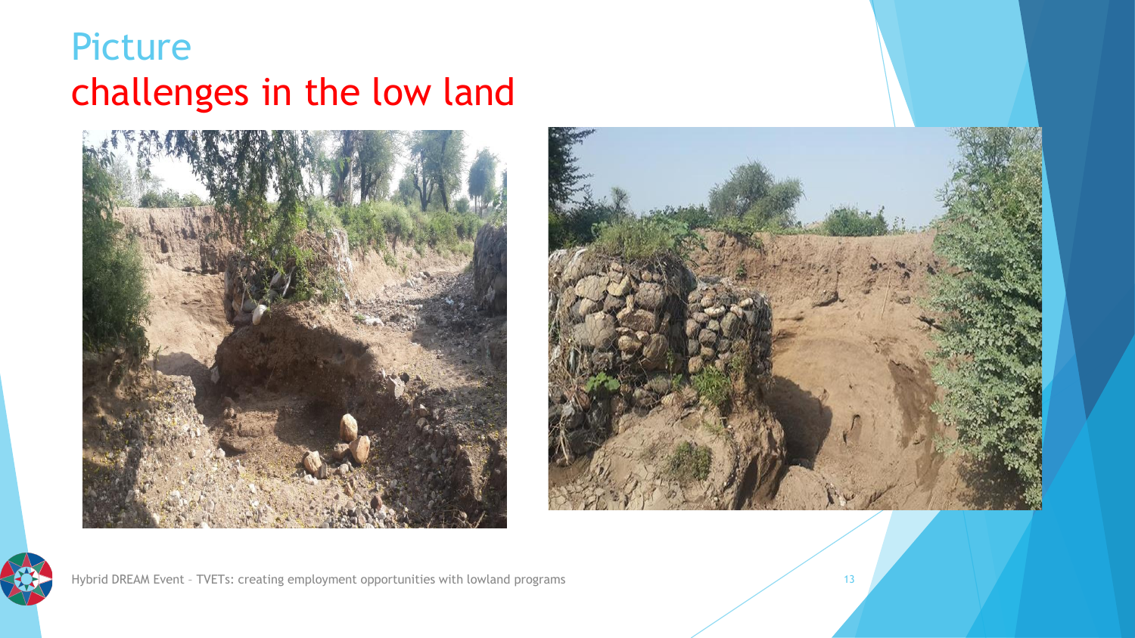## Picture challenges in the low land







Hybrid DREAM Event - TVETs: creating employment opportunities with lowland programs 13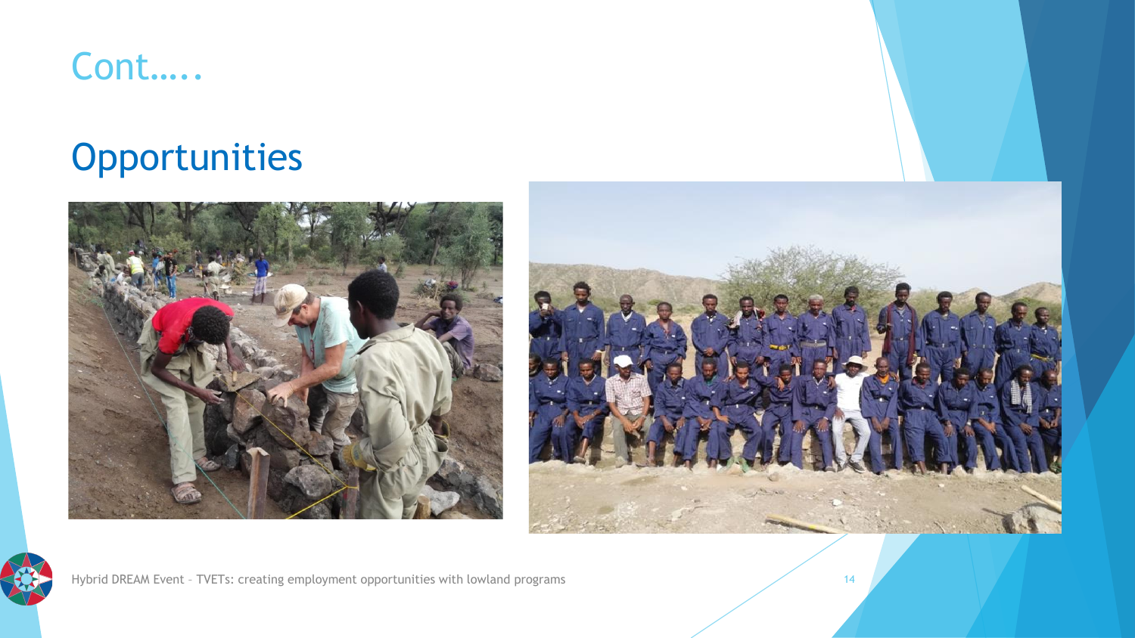#### Cont…..

## **Opportunities**







Hybrid DREAM Event - TVETs: creating employment opportunities with lowland programs 14